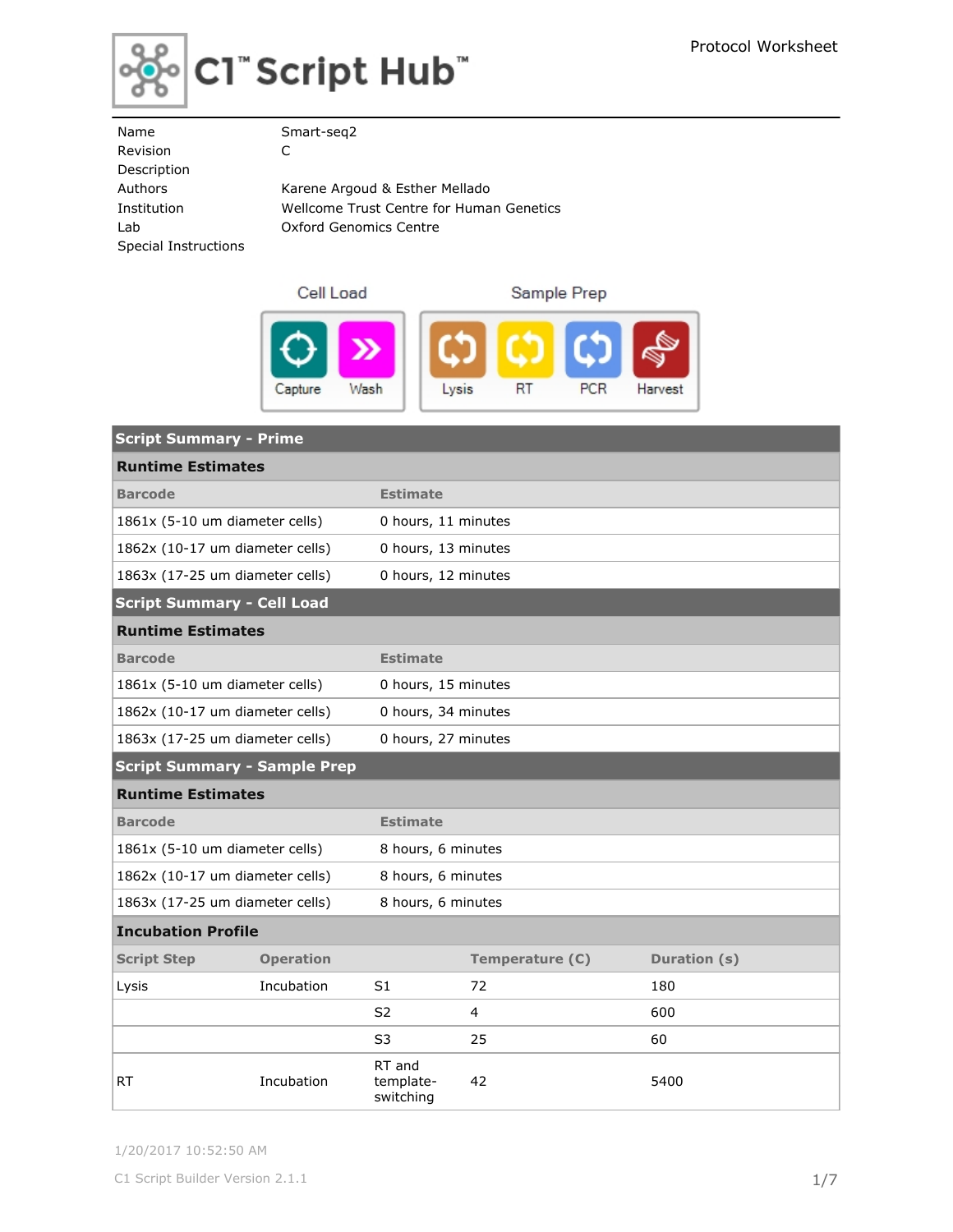

| Name                 | Smart-seq2                               |
|----------------------|------------------------------------------|
| Revision             | C                                        |
| Description          |                                          |
| Authors              | Karene Argoud & Esther Mellado           |
| Institution          | Wellcome Trust Centre for Human Genetics |
| Lab                  | Oxford Genomics Centre                   |
| Special Instructions |                                          |
|                      |                                          |



| <b>Script Summary - Prime</b>                          |                  |                                  |                 |              |  |
|--------------------------------------------------------|------------------|----------------------------------|-----------------|--------------|--|
| <b>Runtime Estimates</b>                               |                  |                                  |                 |              |  |
| <b>Barcode</b>                                         |                  | <b>Estimate</b>                  |                 |              |  |
| 1861x (5-10 um diameter cells)                         |                  | 0 hours, 11 minutes              |                 |              |  |
| 1862x (10-17 um diameter cells)                        |                  | 0 hours, 13 minutes              |                 |              |  |
| 1863x (17-25 um diameter cells)                        |                  | 0 hours, 12 minutes              |                 |              |  |
| <b>Script Summary - Cell Load</b>                      |                  |                                  |                 |              |  |
| <b>Runtime Estimates</b>                               |                  |                                  |                 |              |  |
| <b>Barcode</b><br><b>Estimate</b>                      |                  |                                  |                 |              |  |
| 1861x (5-10 um diameter cells)                         |                  | 0 hours, 15 minutes              |                 |              |  |
| 1862x (10-17 um diameter cells)                        |                  | 0 hours, 34 minutes              |                 |              |  |
| 1863x (17-25 um diameter cells)<br>0 hours, 27 minutes |                  |                                  |                 |              |  |
| <b>Script Summary - Sample Prep</b>                    |                  |                                  |                 |              |  |
| <b>Runtime Estimates</b>                               |                  |                                  |                 |              |  |
| <b>Barcode</b>                                         |                  | <b>Estimate</b>                  |                 |              |  |
| 1861x (5-10 um diameter cells)                         |                  | 8 hours, 6 minutes               |                 |              |  |
| 1862x (10-17 um diameter cells)                        |                  | 8 hours, 6 minutes               |                 |              |  |
| 1863x (17-25 um diameter cells)                        |                  | 8 hours, 6 minutes               |                 |              |  |
| <b>Incubation Profile</b>                              |                  |                                  |                 |              |  |
| <b>Script Step</b>                                     | <b>Operation</b> |                                  | Temperature (C) | Duration (s) |  |
| Lysis                                                  | Incubation       | S <sub>1</sub>                   | 72              | 180          |  |
|                                                        |                  | S <sub>2</sub>                   | $\overline{4}$  | 600          |  |
|                                                        |                  | S <sub>3</sub>                   | 25              | 60           |  |
| <b>RT</b>                                              | Incubation       | RT and<br>template-<br>switching | 42              | 5400         |  |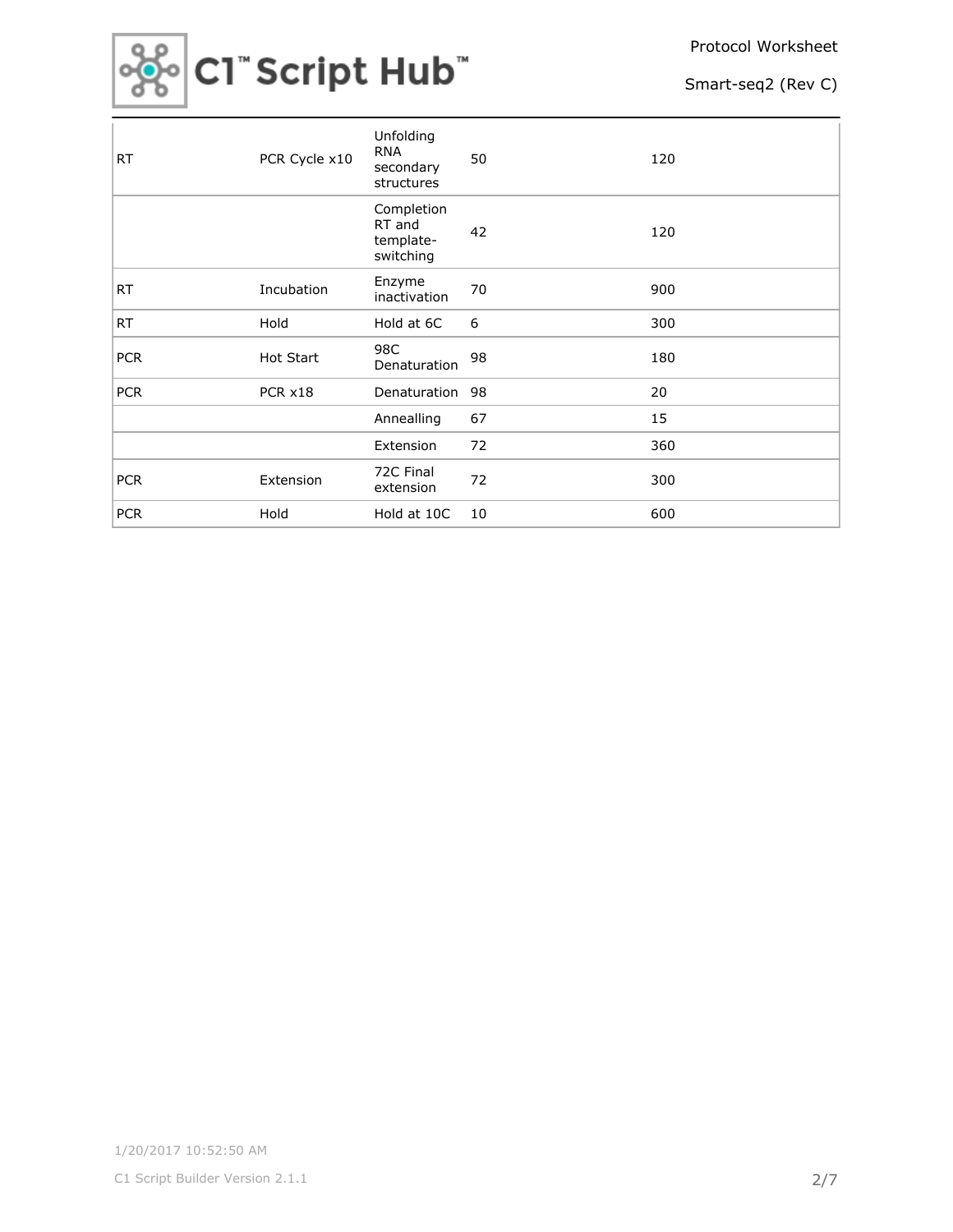

| <b>RT</b>  | PCR Cycle x10 | Unfolding<br><b>RNA</b><br>secondary<br>structures | 50 | 120 |
|------------|---------------|----------------------------------------------------|----|-----|
|            |               | Completion<br>RT and<br>template-<br>switching     | 42 | 120 |
| <b>RT</b>  | Incubation    | Enzyme<br>inactivation                             | 70 | 900 |
| <b>RT</b>  | Hold          | Hold at 6C                                         | 6  | 300 |
| <b>PCR</b> | Hot Start     | 98C<br>Denaturation                                | 98 | 180 |
| <b>PCR</b> | PCR x18       | Denaturation                                       | 98 | 20  |
|            |               | Annealling                                         | 67 | 15  |
|            |               | Extension                                          | 72 | 360 |
| <b>PCR</b> | Extension     | 72C Final<br>extension                             | 72 | 300 |
| <b>PCR</b> | Hold          | Hold at 10C                                        | 10 | 600 |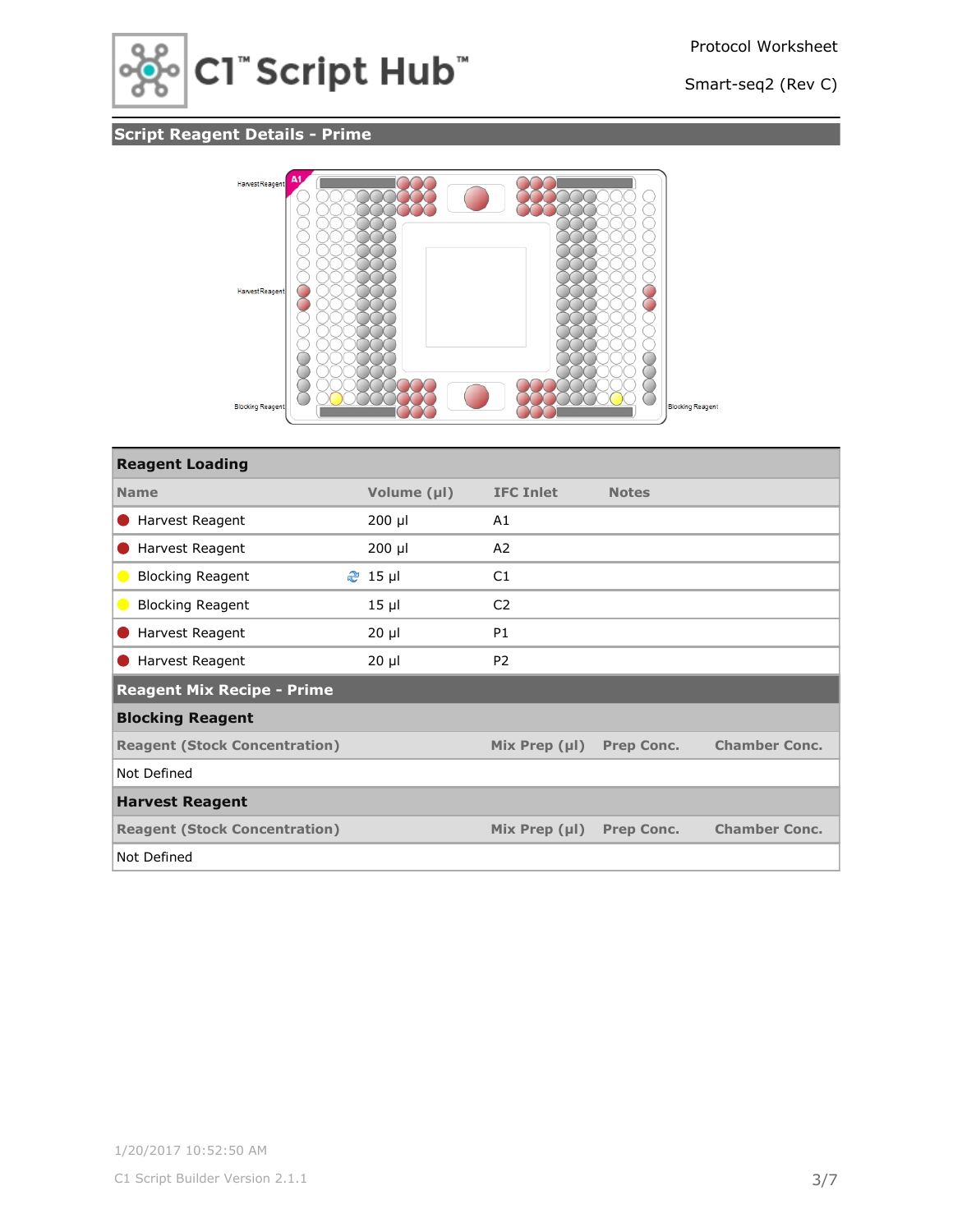

## **Script Reagent Details - Prime**



| <b>Reagent Loading</b>               |             |                    |                   |                      |
|--------------------------------------|-------------|--------------------|-------------------|----------------------|
| <b>Name</b>                          | Volume (µl) | <b>IFC Inlet</b>   | <b>Notes</b>      |                      |
| Harvest Reagent                      | $200$ µl    | A1                 |                   |                      |
| Harvest Reagent                      | $200$ µl    | A <sub>2</sub>     |                   |                      |
| <b>Blocking Reagent</b>              | $2$ 15 µ    | C1                 |                   |                      |
| <b>Blocking Reagent</b>              | $15$ $\mu$  | C <sub>2</sub>     |                   |                      |
| Harvest Reagent                      | $20 \mu$    | <b>P1</b>          |                   |                      |
| Harvest Reagent                      | $20 \mu$    | P <sub>2</sub>     |                   |                      |
| <b>Reagent Mix Recipe - Prime</b>    |             |                    |                   |                      |
| <b>Blocking Reagent</b>              |             |                    |                   |                      |
| <b>Reagent (Stock Concentration)</b> |             | Mix Prep $(\mu I)$ | <b>Prep Conc.</b> | <b>Chamber Conc.</b> |
| Not Defined                          |             |                    |                   |                      |
| <b>Harvest Reagent</b>               |             |                    |                   |                      |
| <b>Reagent (Stock Concentration)</b> |             | Mix Prep $(\mu I)$ | <b>Prep Conc.</b> | <b>Chamber Conc.</b> |
| Not Defined                          |             |                    |                   |                      |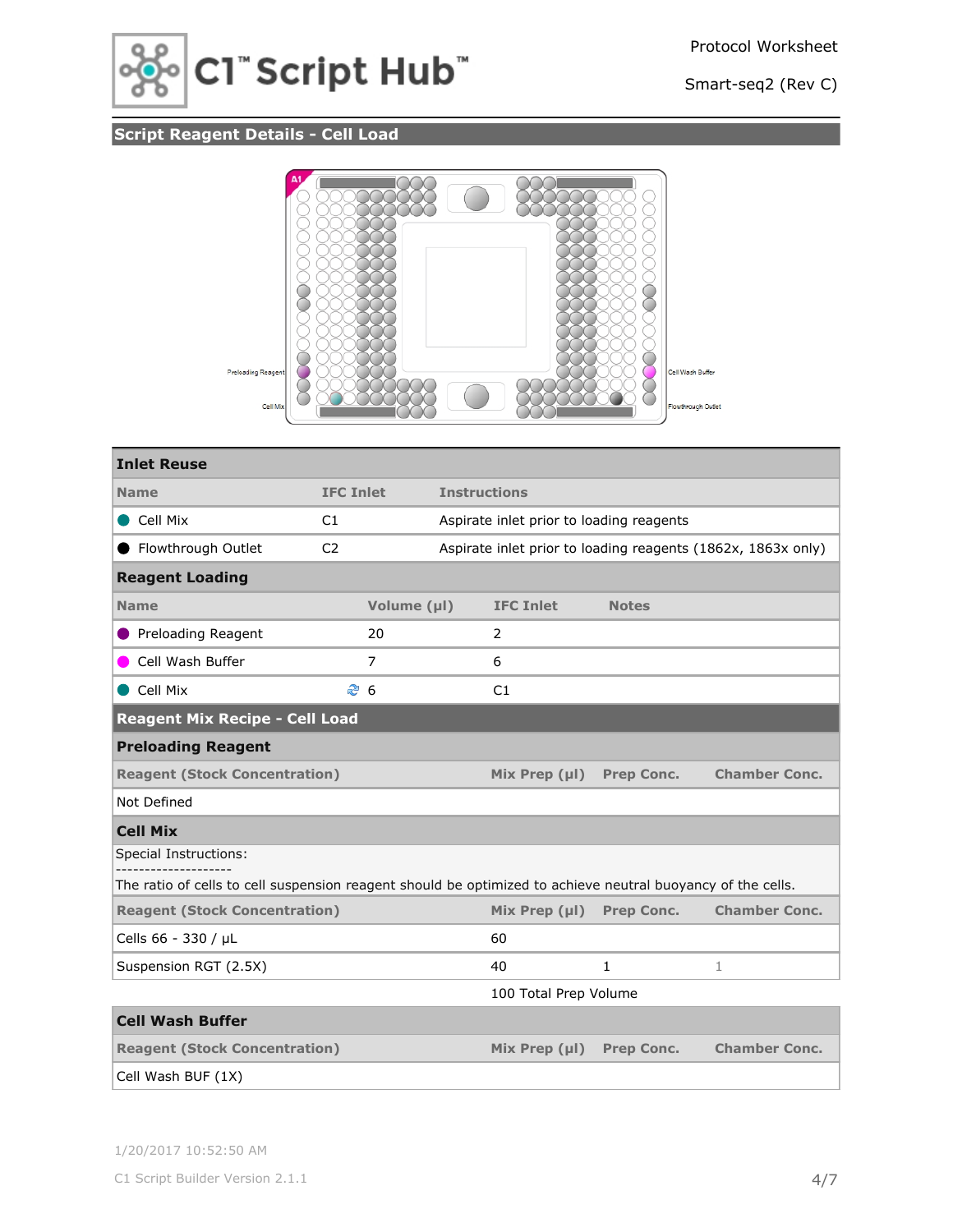

## **Script Reagent Details - Cell Load**



| <b>Inlet Reuse</b>                                                                                          |                  |                |                       |                                          |                   |                                                              |
|-------------------------------------------------------------------------------------------------------------|------------------|----------------|-----------------------|------------------------------------------|-------------------|--------------------------------------------------------------|
| <b>Name</b>                                                                                                 | <b>IFC Inlet</b> |                | <b>Instructions</b>   |                                          |                   |                                                              |
| Cell Mix<br>D                                                                                               | C1               |                |                       | Aspirate inlet prior to loading reagents |                   |                                                              |
| Flowthrough Outlet                                                                                          | C <sub>2</sub>   |                |                       |                                          |                   | Aspirate inlet prior to loading reagents (1862x, 1863x only) |
| <b>Reagent Loading</b>                                                                                      |                  |                |                       |                                          |                   |                                                              |
| <b>Name</b>                                                                                                 |                  | Volume (µl)    |                       | <b>IFC Inlet</b>                         | <b>Notes</b>      |                                                              |
| Preloading Reagent                                                                                          |                  | 20             |                       | 2                                        |                   |                                                              |
| Cell Wash Buffer                                                                                            |                  | $\overline{7}$ |                       | 6                                        |                   |                                                              |
| Cell Mix                                                                                                    | <b></b> 6        |                |                       | C1                                       |                   |                                                              |
| <b>Reagent Mix Recipe - Cell Load</b>                                                                       |                  |                |                       |                                          |                   |                                                              |
| <b>Preloading Reagent</b>                                                                                   |                  |                |                       |                                          |                   |                                                              |
| <b>Reagent (Stock Concentration)</b>                                                                        |                  |                |                       | Mix Prep $(\mu I)$                       | <b>Prep Conc.</b> | <b>Chamber Conc.</b>                                         |
| Not Defined                                                                                                 |                  |                |                       |                                          |                   |                                                              |
| <b>Cell Mix</b>                                                                                             |                  |                |                       |                                          |                   |                                                              |
| <b>Special Instructions:</b>                                                                                |                  |                |                       |                                          |                   |                                                              |
| The ratio of cells to cell suspension reagent should be optimized to achieve neutral buoyancy of the cells. |                  |                |                       |                                          |                   |                                                              |
| <b>Reagent (Stock Concentration)</b>                                                                        |                  |                |                       | Mix Prep $(\mu I)$                       | <b>Prep Conc.</b> | <b>Chamber Conc.</b>                                         |
| Cells 66 - 330 / µL                                                                                         |                  |                |                       | 60                                       |                   |                                                              |
| Suspension RGT (2.5X)                                                                                       |                  |                |                       | 40                                       | $\mathbf{1}$      | $\mathbf{1}$                                                 |
|                                                                                                             |                  |                | 100 Total Prep Volume |                                          |                   |                                                              |
| <b>Cell Wash Buffer</b>                                                                                     |                  |                |                       |                                          |                   |                                                              |
| <b>Reagent (Stock Concentration)</b>                                                                        |                  |                |                       | Mix Prep $(\mu I)$                       | <b>Prep Conc.</b> | <b>Chamber Conc.</b>                                         |
| Cell Wash BUF (1X)                                                                                          |                  |                |                       |                                          |                   |                                                              |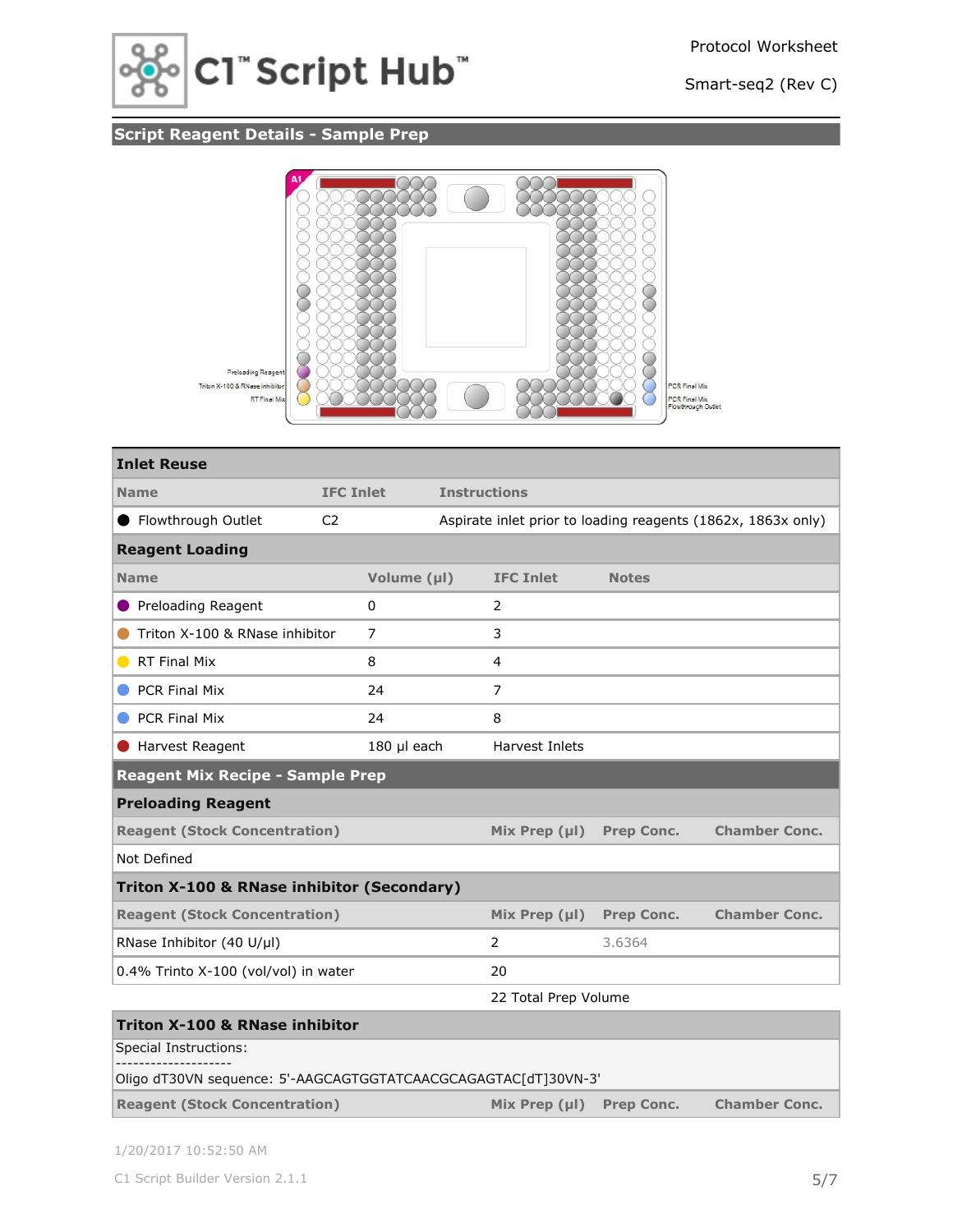

## **Script Reagent Details - Sample Prep**



| <b>Inlet Reuse</b>                                             |                  |             |                     |                                                              |                   |                      |  |
|----------------------------------------------------------------|------------------|-------------|---------------------|--------------------------------------------------------------|-------------------|----------------------|--|
| <b>Name</b>                                                    | <b>IFC Inlet</b> |             | <b>Instructions</b> |                                                              |                   |                      |  |
| ● Flowthrough Outlet                                           | C <sub>2</sub>   |             |                     | Aspirate inlet prior to loading reagents (1862x, 1863x only) |                   |                      |  |
| <b>Reagent Loading</b>                                         |                  |             |                     |                                                              |                   |                      |  |
| <b>Name</b>                                                    |                  | Volume (µl) |                     | <b>IFC Inlet</b>                                             | <b>Notes</b>      |                      |  |
| Preloading Reagent                                             |                  | 0           |                     | 2                                                            |                   |                      |  |
| Triton X-100 & RNase inhibitor                                 |                  | 7           |                     | 3                                                            |                   |                      |  |
| RT Final Mix<br>$\blacksquare$                                 |                  | 8           |                     | 4                                                            |                   |                      |  |
| <b>PCR Final Mix</b>                                           |                  | 24          |                     | 7                                                            |                   |                      |  |
| <b>PCR Final Mix</b>                                           |                  | 24          |                     | 8                                                            |                   |                      |  |
| Harvest Reagent<br>180 µl each                                 |                  |             | Harvest Inlets      |                                                              |                   |                      |  |
| <b>Reagent Mix Recipe - Sample Prep</b>                        |                  |             |                     |                                                              |                   |                      |  |
| <b>Preloading Reagent</b>                                      |                  |             |                     |                                                              |                   |                      |  |
| <b>Reagent (Stock Concentration)</b>                           |                  |             |                     | Mix Prep $(\mu I)$                                           | <b>Prep Conc.</b> | <b>Chamber Conc.</b> |  |
| Not Defined                                                    |                  |             |                     |                                                              |                   |                      |  |
| Triton X-100 & RNase inhibitor (Secondary)                     |                  |             |                     |                                                              |                   |                      |  |
| <b>Reagent (Stock Concentration)</b>                           |                  |             |                     | Mix Prep $(\mu I)$                                           | <b>Prep Conc.</b> | <b>Chamber Conc.</b> |  |
| RNase Inhibitor (40 U/µl)                                      |                  |             |                     | $\overline{2}$                                               | 3.6364            |                      |  |
| 0.4% Trinto X-100 (vol/vol) in water                           |                  |             |                     | 20                                                           |                   |                      |  |
|                                                                |                  |             |                     | 22 Total Prep Volume                                         |                   |                      |  |
| <b>Triton X-100 &amp; RNase inhibitor</b>                      |                  |             |                     |                                                              |                   |                      |  |
| <b>Special Instructions:</b>                                   |                  |             |                     |                                                              |                   |                      |  |
| Oligo dT30VN sequence: 5'-AAGCAGTGGTATCAACGCAGAGTAC[dT]30VN-3' |                  |             |                     |                                                              |                   |                      |  |
| <b>Reagent (Stock Concentration)</b>                           |                  |             |                     | Mix Prep $(\mu I)$                                           | <b>Prep Conc.</b> | <b>Chamber Conc.</b> |  |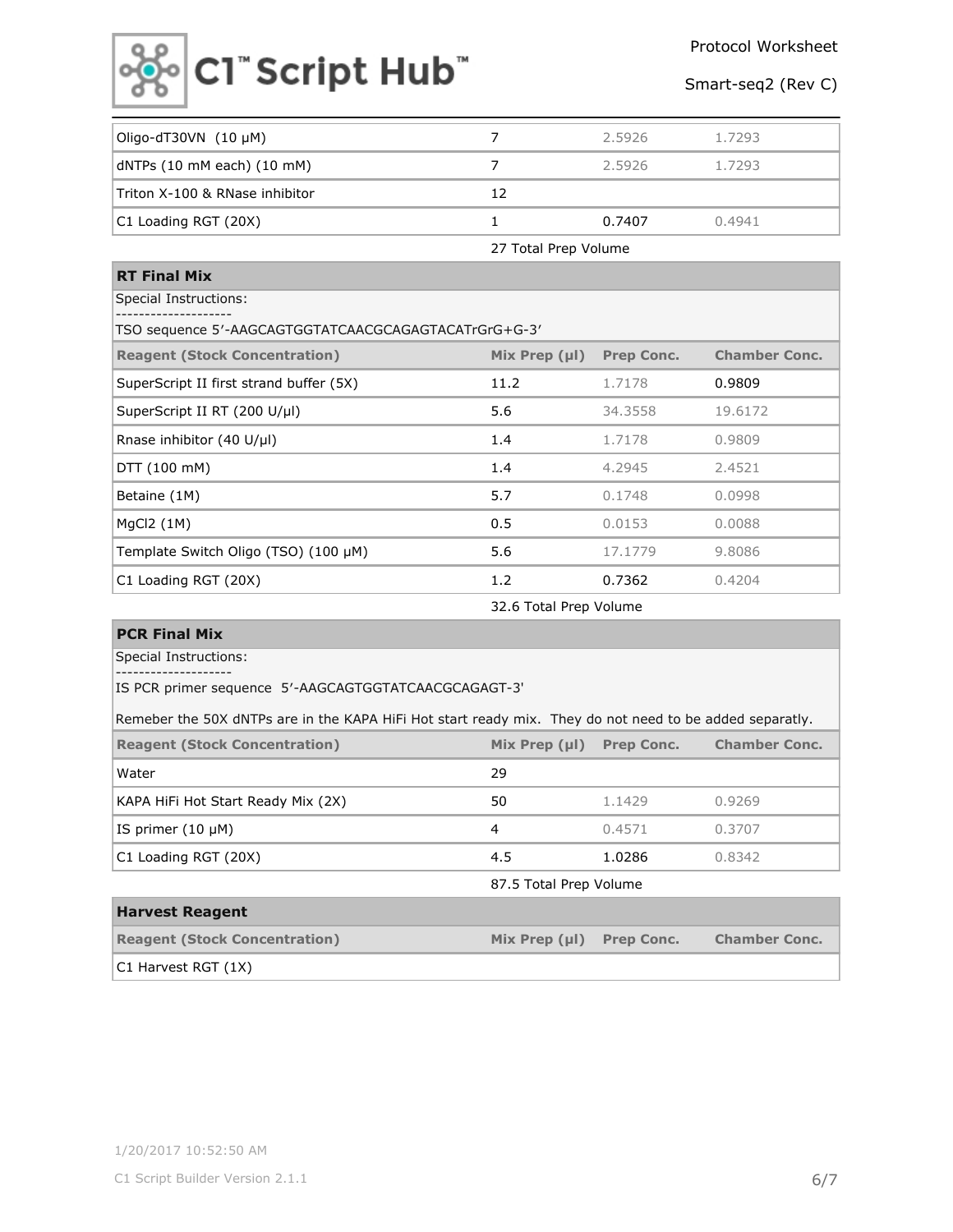

| $\vert$ Oligo-dT30VN (10 µM)   |    | 2.5926 | 1.7293 |
|--------------------------------|----|--------|--------|
| $ dNTPs $ (10 mM each) (10 mM) |    | 2.5926 | 1.7293 |
| Triton X-100 & RNase inhibitor | 12 |        |        |
| C1 Loading RGT (20X)           |    | 0.7407 | 0.4941 |

27 Total Prep Volume

| <b>RT Final Mix</b>                                                                                     |                        |         |         |  |  |  |  |
|---------------------------------------------------------------------------------------------------------|------------------------|---------|---------|--|--|--|--|
| Special Instructions:                                                                                   |                        |         |         |  |  |  |  |
| TSO sequence 5'-AAGCAGTGGTATCAACGCAGAGTACATrGrG+G-3'                                                    |                        |         |         |  |  |  |  |
| <b>Chamber Conc.</b><br><b>Reagent (Stock Concentration)</b><br>Mix Prep $(\mu I)$<br><b>Prep Conc.</b> |                        |         |         |  |  |  |  |
| SuperScript II first strand buffer (5X)                                                                 | 11.2                   | 1.7178  | 0.9809  |  |  |  |  |
| SuperScript II RT $(200 U/\mu I)$                                                                       | 5.6                    | 34.3558 | 19.6172 |  |  |  |  |
| Rnase inhibitor $(40 \text{ U/}\mu\text{I})$                                                            | 1.4                    | 1.7178  | 0.9809  |  |  |  |  |
| DTT(100~mM)                                                                                             | 1.4                    | 4.2945  | 2.4521  |  |  |  |  |
| Betaine (1M)                                                                                            | 5.7                    | 0.1748  | 0.0998  |  |  |  |  |
| $MqCl2$ (1M)                                                                                            | 0.5                    | 0.0153  | 0.0088  |  |  |  |  |
| Template Switch Oligo (TSO) (100 µM)                                                                    | 5.6                    | 17.1779 | 9.8086  |  |  |  |  |
| C1 Loading RGT (20X)                                                                                    | 1.2                    | 0.7362  | 0.4204  |  |  |  |  |
|                                                                                                         | 32.6 Total Prep Volume |         |         |  |  |  |  |

## **PCR Final Mix**

Special Instructions:

--------------------

IS PCR primer sequence 5′-AAGCAGTGGTATCAACGCAGAGT-3'

| Remeber the 50X dNTPs are in the KAPA HiFi Hot start ready mix. They do not need to be added separatly. |  |
|---------------------------------------------------------------------------------------------------------|--|
|---------------------------------------------------------------------------------------------------------|--|

| <b>Reagent (Stock Concentration)</b> | Mix Prep $(\mu I)$                                 | <b>Prep Conc.</b> | <b>Chamber Conc.</b> |
|--------------------------------------|----------------------------------------------------|-------------------|----------------------|
| Water                                | 29                                                 |                   |                      |
| KAPA HiFi Hot Start Ready Mix (2X)   | 50                                                 | 1.1429            | 0.9269               |
| IS primer (10 µM)                    | 4                                                  | 0.4571            | 0.3707               |
| C1 Loading RGT (20X)                 | 4.5                                                | 1.0286            | 0.8342               |
|                                      | $\sim$ $  \sim$ $\sim$ $\sim$ $\sim$ $\sim$ $\sim$ |                   |                      |

87.5 Total Prep Volume

| <b>Harvest Reagent</b>               |                    |                   |                      |
|--------------------------------------|--------------------|-------------------|----------------------|
| <b>Reagent (Stock Concentration)</b> | Mix Prep $(\mu I)$ | <b>Prep Conc.</b> | <b>Chamber Conc.</b> |
| C1 Harvest RGT (1X)                  |                    |                   |                      |